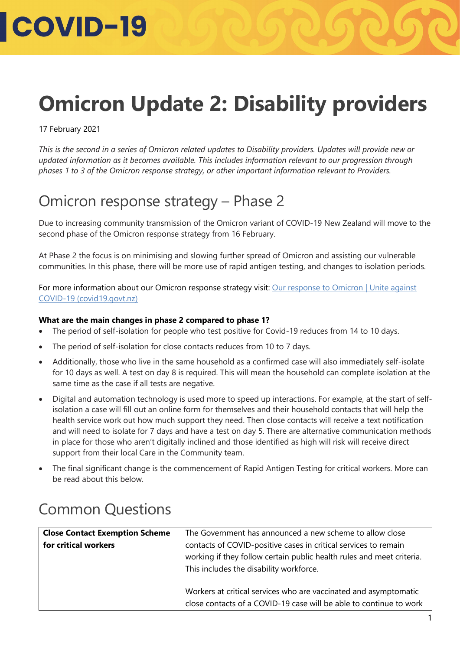#### **Omicron Update 2: Disability providers**

17 February 2021

*This is the second in a series of Omicron related updates to Disability providers. Updates will provide new or updated information as it becomes available. This includes information relevant to our progression through phases 1 to 3 of the Omicron response strategy, or other important information relevant to Providers.* 

#### Omicron response strategy – Phase 2

Due to increasing community transmission of the Omicron variant of COVID-19 New Zealand will move to the second phase of the Omicron response strategy from 16 February.

At Phase 2 the focus is on minimising and slowing further spread of Omicron and assisting our vulnerable communities. In this phase, there will be more use of rapid antigen testing, and changes to isolation periods.

For more information about our Omicron response strategy visit: Our response to Omicron | Unite against [COVID-19 \(covid19.govt.nz\)](https://covid19.govt.nz/prepare-and-stay-safe/about-covid-19/our-response-to-omicron/#there-will-be-3-phases)

#### **What are the main changes in phase 2 compared to phase 1?**

- The period of self-isolation for people who test positive for Covid-19 reduces from 14 to 10 days.
- The period of self-isolation for close contacts reduces from 10 to 7 days.
- Additionally, those who live in the same household as a confirmed case will also immediately self-isolate for 10 days as well. A test on day 8 is required. This will mean the household can complete isolation at the same time as the case if all tests are negative.
- Digital and automation technology is used more to speed up interactions. For example, at the start of selfisolation a case will fill out an online form for themselves and their household contacts that will help the health service work out how much support they need. Then close contacts will receive a text notification and will need to isolate for 7 days and have a test on day 5. There are alternative communication methods in place for those who aren't digitally inclined and those identified as high will risk will receive direct support from their local Care in the Community team.
- The final significant change is the commencement of Rapid Antigen Testing for critical workers. More can be read about this below.

#### Common Questions

| <b>Close Contact Exemption Scheme</b> | The Government has announced a new scheme to allow close              |
|---------------------------------------|-----------------------------------------------------------------------|
| for critical workers                  | contacts of COVID-positive cases in critical services to remain       |
|                                       | working if they follow certain public health rules and meet criteria. |
|                                       | This includes the disability workforce.                               |
|                                       |                                                                       |
|                                       | Workers at critical services who are vaccinated and asymptomatic      |
|                                       | close contacts of a COVID-19 case will be able to continue to work    |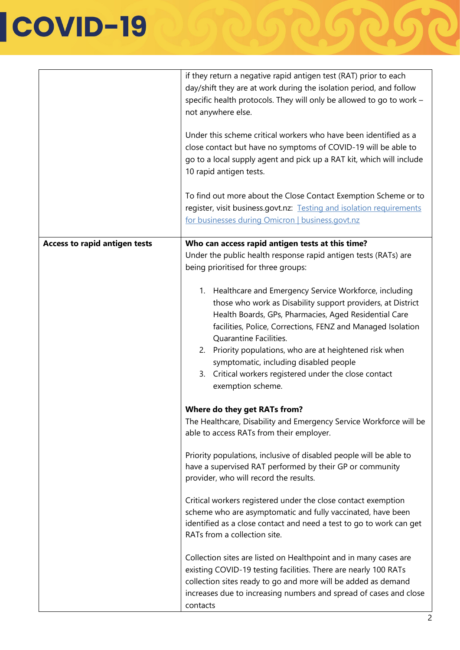|                                      | if they return a negative rapid antigen test (RAT) prior to each<br>day/shift they are at work during the isolation period, and follow<br>specific health protocols. They will only be allowed to go to work -<br>not anywhere else.<br>Under this scheme critical workers who have been identified as a<br>close contact but have no symptoms of COVID-19 will be able to<br>go to a local supply agent and pick up a RAT kit, which will include<br>10 rapid antigen tests.<br>To find out more about the Close Contact Exemption Scheme or to<br>register, visit business.govt.nz: Testing and isolation requirements<br>for businesses during Omicron   business.govt.nz                                                                                                                                                                               |
|--------------------------------------|------------------------------------------------------------------------------------------------------------------------------------------------------------------------------------------------------------------------------------------------------------------------------------------------------------------------------------------------------------------------------------------------------------------------------------------------------------------------------------------------------------------------------------------------------------------------------------------------------------------------------------------------------------------------------------------------------------------------------------------------------------------------------------------------------------------------------------------------------------|
| <b>Access to rapid antigen tests</b> | Who can access rapid antigen tests at this time?<br>Under the public health response rapid antigen tests (RATs) are<br>being prioritised for three groups:<br>1. Healthcare and Emergency Service Workforce, including<br>those who work as Disability support providers, at District<br>Health Boards, GPs, Pharmacies, Aged Residential Care<br>facilities, Police, Corrections, FENZ and Managed Isolation<br>Quarantine Facilities.<br>2. Priority populations, who are at heightened risk when<br>symptomatic, including disabled people<br>3. Critical workers registered under the close contact<br>exemption scheme.                                                                                                                                                                                                                               |
|                                      | Where do they get RATs from?<br>The Healthcare, Disability and Emergency Service Workforce will be<br>able to access RATs from their employer.<br>Priority populations, inclusive of disabled people will be able to<br>have a supervised RAT performed by their GP or community<br>provider, who will record the results.<br>Critical workers registered under the close contact exemption<br>scheme who are asymptomatic and fully vaccinated, have been<br>identified as a close contact and need a test to go to work can get<br>RATs from a collection site.<br>Collection sites are listed on Healthpoint and in many cases are<br>existing COVID-19 testing facilities. There are nearly 100 RATs<br>collection sites ready to go and more will be added as demand<br>increases due to increasing numbers and spread of cases and close<br>contacts |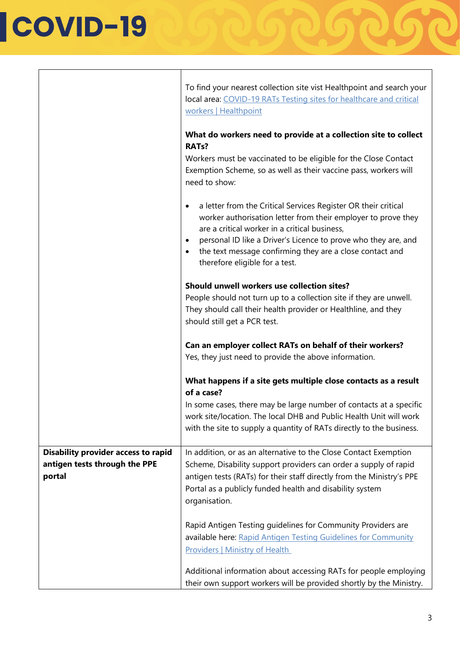|                                                                                       | To find your nearest collection site vist Healthpoint and search your<br>local area: COVID-19 RATs Testing sites for healthcare and critical<br>workers   Healthpoint                                                                                                                                                                                                                   |
|---------------------------------------------------------------------------------------|-----------------------------------------------------------------------------------------------------------------------------------------------------------------------------------------------------------------------------------------------------------------------------------------------------------------------------------------------------------------------------------------|
|                                                                                       | What do workers need to provide at a collection site to collect<br><b>RATs?</b><br>Workers must be vaccinated to be eligible for the Close Contact<br>Exemption Scheme, so as well as their vaccine pass, workers will<br>need to show:                                                                                                                                                 |
|                                                                                       | a letter from the Critical Services Register OR their critical<br>$\bullet$<br>worker authorisation letter from their employer to prove they<br>are a critical worker in a critical business,<br>personal ID like a Driver's Licence to prove who they are, and<br>$\bullet$<br>the text message confirming they are a close contact and<br>$\bullet$<br>therefore eligible for a test. |
|                                                                                       | Should unwell workers use collection sites?<br>People should not turn up to a collection site if they are unwell.<br>They should call their health provider or Healthline, and they<br>should still get a PCR test.                                                                                                                                                                     |
|                                                                                       | Can an employer collect RATs on behalf of their workers?<br>Yes, they just need to provide the above information.                                                                                                                                                                                                                                                                       |
|                                                                                       | What happens if a site gets multiple close contacts as a result<br>of a case?                                                                                                                                                                                                                                                                                                           |
|                                                                                       | In some cases, there may be large number of contacts at a specific<br>work site/location. The local DHB and Public Health Unit will work<br>with the site to supply a quantity of RATs directly to the business.                                                                                                                                                                        |
| <b>Disability provider access to rapid</b><br>antigen tests through the PPE<br>portal | In addition, or as an alternative to the Close Contact Exemption<br>Scheme, Disability support providers can order a supply of rapid<br>antigen tests (RATs) for their staff directly from the Ministry's PPE<br>Portal as a publicly funded health and disability system<br>organisation.                                                                                              |
|                                                                                       | Rapid Antigen Testing guidelines for Community Providers are<br>available here: Rapid Antigen Testing Guidelines for Community<br><b>Providers   Ministry of Health</b>                                                                                                                                                                                                                 |
|                                                                                       | Additional information about accessing RATs for people employing<br>their own support workers will be provided shortly by the Ministry.                                                                                                                                                                                                                                                 |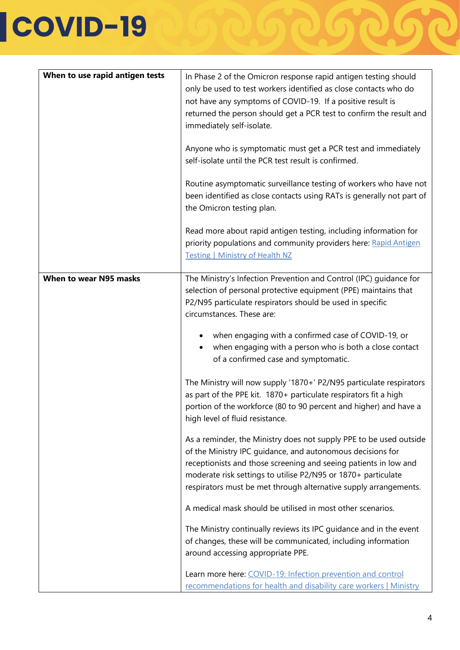| When to use rapid antigen tests | In Phase 2 of the Omicron response rapid antigen testing should<br>only be used to test workers identified as close contacts who do<br>not have any symptoms of COVID-19. If a positive result is<br>returned the person should get a PCR test to confirm the result and<br>immediately self-isolate.<br>Anyone who is symptomatic must get a PCR test and immediately<br>self-isolate until the PCR test result is confirmed.<br>Routine asymptomatic surveillance testing of workers who have not<br>been identified as close contacts using RATs is generally not part of<br>the Omicron testing plan. |
|---------------------------------|-----------------------------------------------------------------------------------------------------------------------------------------------------------------------------------------------------------------------------------------------------------------------------------------------------------------------------------------------------------------------------------------------------------------------------------------------------------------------------------------------------------------------------------------------------------------------------------------------------------|
|                                 | Read more about rapid antigen testing, including information for<br>priority populations and community providers here: Rapid Antigen<br><b>Testing   Ministry of Health NZ</b>                                                                                                                                                                                                                                                                                                                                                                                                                            |
| When to wear N95 masks          | The Ministry's Infection Prevention and Control (IPC) guidance for<br>selection of personal protective equipment (PPE) maintains that<br>P2/N95 particulate respirators should be used in specific<br>circumstances. These are:<br>when engaging with a confirmed case of COVID-19, or<br>when engaging with a person who is both a close contact<br>of a confirmed case and symptomatic.<br>The Ministry will now supply '1870+' P2/N95 particulate respirators                                                                                                                                          |
|                                 | as part of the PPE kit. 1870+ particulate respirators fit a high<br>portion of the workforce (80 to 90 percent and higher) and have a<br>high level of fluid resistance.                                                                                                                                                                                                                                                                                                                                                                                                                                  |
|                                 | As a reminder, the Ministry does not supply PPE to be used outside<br>of the Ministry IPC quidance, and autonomous decisions for<br>receptionists and those screening and seeing patients in low and<br>moderate risk settings to utilise P2/N95 or 1870+ particulate<br>respirators must be met through alternative supply arrangements.                                                                                                                                                                                                                                                                 |
|                                 | A medical mask should be utilised in most other scenarios.                                                                                                                                                                                                                                                                                                                                                                                                                                                                                                                                                |
|                                 | The Ministry continually reviews its IPC guidance and in the event<br>of changes, these will be communicated, including information<br>around accessing appropriate PPE.                                                                                                                                                                                                                                                                                                                                                                                                                                  |
|                                 | Learn more here: COVID-19: Infection prevention and control<br>recommendations for health and disability care workers   Ministry                                                                                                                                                                                                                                                                                                                                                                                                                                                                          |

26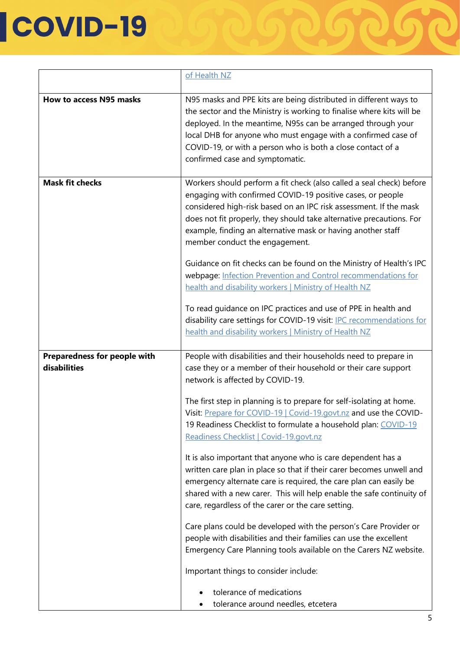|                                              | of Health NZ                                                                                                                                                                                                                                                                                                                                                                                                                                                                                                                                                                                                                                                                                                                                                                                                                                                                                                                                                                                                                                                                                         |
|----------------------------------------------|------------------------------------------------------------------------------------------------------------------------------------------------------------------------------------------------------------------------------------------------------------------------------------------------------------------------------------------------------------------------------------------------------------------------------------------------------------------------------------------------------------------------------------------------------------------------------------------------------------------------------------------------------------------------------------------------------------------------------------------------------------------------------------------------------------------------------------------------------------------------------------------------------------------------------------------------------------------------------------------------------------------------------------------------------------------------------------------------------|
| How to access N95 masks                      | N95 masks and PPE kits are being distributed in different ways to<br>the sector and the Ministry is working to finalise where kits will be<br>deployed. In the meantime, N95s can be arranged through your<br>local DHB for anyone who must engage with a confirmed case of<br>COVID-19, or with a person who is both a close contact of a<br>confirmed case and symptomatic.                                                                                                                                                                                                                                                                                                                                                                                                                                                                                                                                                                                                                                                                                                                        |
| <b>Mask fit checks</b>                       | Workers should perform a fit check (also called a seal check) before<br>engaging with confirmed COVID-19 positive cases, or people<br>considered high-risk based on an IPC risk assessment. If the mask<br>does not fit properly, they should take alternative precautions. For<br>example, finding an alternative mask or having another staff<br>member conduct the engagement.<br>Guidance on fit checks can be found on the Ministry of Health's IPC<br>webpage: Infection Prevention and Control recommendations for<br>health and disability workers   Ministry of Health NZ<br>To read guidance on IPC practices and use of PPE in health and<br>disability care settings for COVID-19 visit: IPC recommendations for<br>health and disability workers   Ministry of Health NZ                                                                                                                                                                                                                                                                                                                |
| Preparedness for people with<br>disabilities | People with disabilities and their households need to prepare in<br>case they or a member of their household or their care support<br>network is affected by COVID-19.<br>The first step in planning is to prepare for self-isolating at home.<br>Visit: Prepare for COVID-19   Covid-19.govt.nz and use the COVID-<br>19 Readiness Checklist to formulate a household plan: COVID-19<br>Readiness Checklist   Covid-19.govt.nz<br>It is also important that anyone who is care dependent has a<br>written care plan in place so that if their carer becomes unwell and<br>emergency alternate care is required, the care plan can easily be<br>shared with a new carer. This will help enable the safe continuity of<br>care, regardless of the carer or the care setting.<br>Care plans could be developed with the person's Care Provider or<br>people with disabilities and their families can use the excellent<br>Emergency Care Planning tools available on the Carers NZ website.<br>Important things to consider include:<br>tolerance of medications<br>tolerance around needles, etcetera |